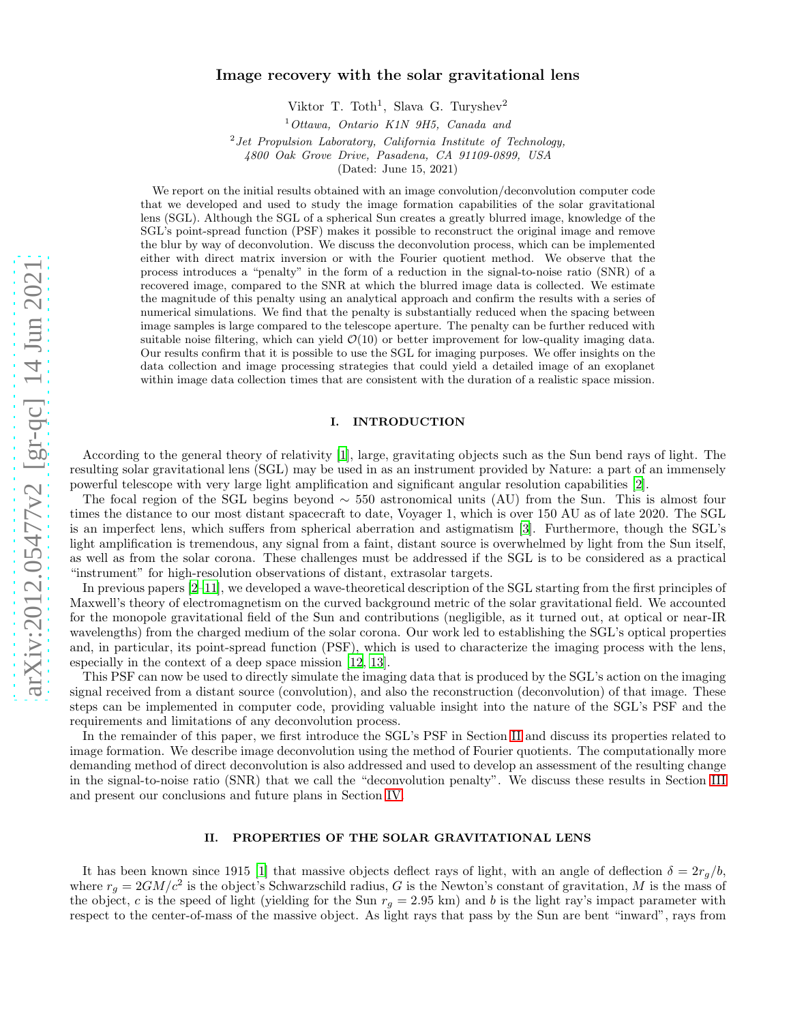# Image recovery with the solar gravitational lens

Viktor T. Toth<sup>1</sup>, Slava G. Turyshev<sup>2</sup>

<sup>1</sup>*Ottawa, Ontario K1N 9H5, Canada and*

2 *Jet Propulsion Laboratory, California Institute of Technology, 4800 Oak Grove Drive, Pasadena, CA 91109-0899, USA* (Dated: June 15, 2021)

We report on the initial results obtained with an image convolution/deconvolution computer code that we developed and used to study the image formation capabilities of the solar gravitational lens (SGL). Although the SGL of a spherical Sun creates a greatly blurred image, knowledge of the SGL's point-spread function (PSF) makes it possible to reconstruct the original image and remove the blur by way of deconvolution. We discuss the deconvolution process, which can be implemented either with direct matrix inversion or with the Fourier quotient method. We observe that the process introduces a "penalty" in the form of a reduction in the signal-to-noise ratio (SNR) of a recovered image, compared to the SNR at which the blurred image data is collected. We estimate the magnitude of this penalty using an analytical approach and confirm the results with a series of numerical simulations. We find that the penalty is substantially reduced when the spacing between image samples is large compared to the telescope aperture. The penalty can be further reduced with suitable noise filtering, which can yield  $\mathcal{O}(10)$  or better improvement for low-quality imaging data. Our results confirm that it is possible to use the SGL for imaging purposes. We offer insights on the data collection and image processing strategies that could yield a detailed image of an exoplanet within image data collection times that are consistent with the duration of a realistic space mission.

### I. INTRODUCTION

According to the general theory of relativity [\[1](#page-10-0)], large, gravitating objects such as the Sun bend rays of light. The resulting solar gravitational lens (SGL) may be used in as an instrument provided by Nature: a part of an immensely powerful telescope with very large light amplification and significant angular resolution capabilities [\[2](#page-10-1)].

The focal region of the SGL begins beyond  $\sim$  550 astronomical units (AU) from the Sun. This is almost four times the distance to our most distant spacecraft to date, Voyager 1, which is over 150 AU as of late 2020. The SGL is an imperfect lens, which suffers from spherical aberration and astigmatism [\[3\]](#page-10-2). Furthermore, though the SGL's light amplification is tremendous, any signal from a faint, distant source is overwhelmed by light from the Sun itself, as well as from the solar corona. These challenges must be addressed if the SGL is to be considered as a practical "instrument" for high-resolution observations of distant, extrasolar targets.

In previous papers [\[2](#page-10-1)[–11](#page-10-3)], we developed a wave-theoretical description of the SGL starting from the first principles of Maxwell's theory of electromagnetism on the curved background metric of the solar gravitational field. We accounted for the monopole gravitational field of the Sun and contributions (negligible, as it turned out, at optical or near-IR wavelengths) from the charged medium of the solar corona. Our work led to establishing the SGL's optical properties and, in particular, its point-spread function (PSF), which is used to characterize the imaging process with the lens, especially in the context of a deep space mission [\[12,](#page-10-4) [13\]](#page-10-5).

This PSF can now be used to directly simulate the imaging data that is produced by the SGL's action on the imaging signal received from a distant source (convolution), and also the reconstruction (deconvolution) of that image. These steps can be implemented in computer code, providing valuable insight into the nature of the SGL's PSF and the requirements and limitations of any deconvolution process.

In the remainder of this paper, we first introduce the SGL's PSF in Section [II](#page-0-0) and discuss its properties related to image formation. We describe image deconvolution using the method of Fourier quotients. The computationally more demanding method of direct deconvolution is also addressed and used to develop an assessment of the resulting change in the signal-to-noise ratio (SNR) that we call the "deconvolution penalty". We discuss these results in Section [III](#page-6-0) and present our conclusions and future plans in Section [IV.](#page-8-0)

### <span id="page-0-0"></span>II. PROPERTIES OF THE SOLAR GRAVITATIONAL LENS

It has been known since 1915 [\[1](#page-10-0)] that massive objects deflect rays of light, with an angle of deflection  $\delta = 2r_q/b$ , where  $r_g = 2GM/c^2$  is the object's Schwarzschild radius, G is the Newton's constant of gravitation, M is the mass of the object, c is the speed of light (yielding for the Sun  $r_g = 2.95$  km) and b is the light ray's impact parameter with respect to the center-of-mass of the massive object. As light rays that pass by the Sun are bent "inward", rays from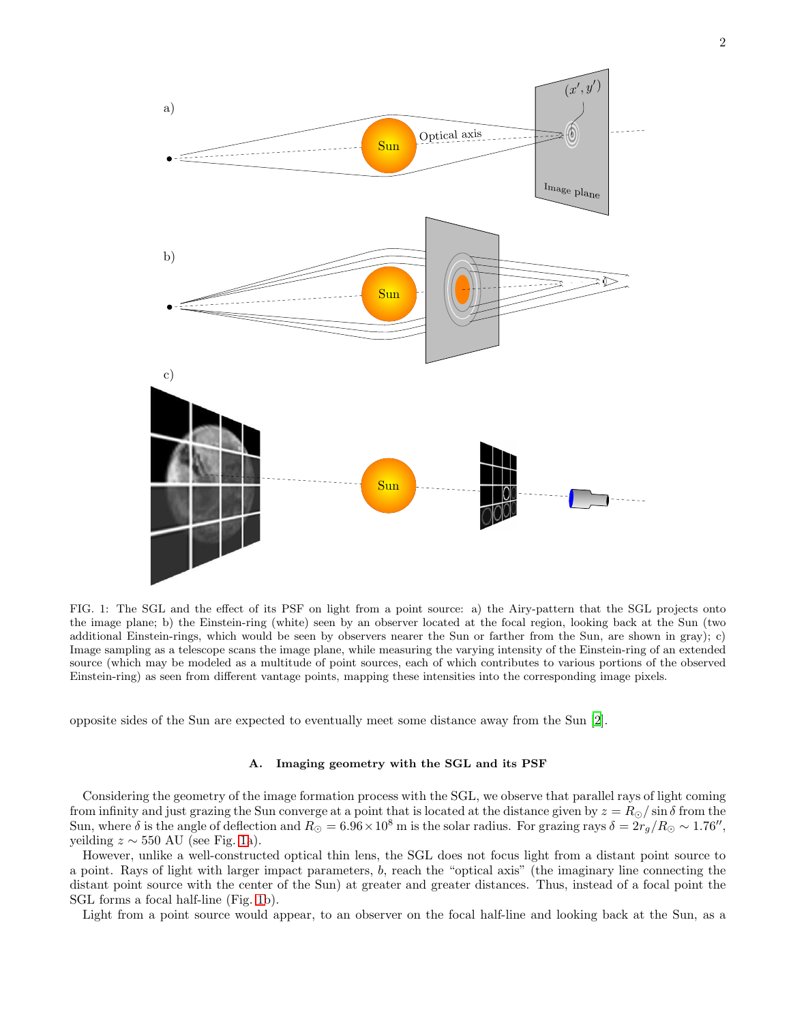

<span id="page-1-0"></span>FIG. 1: The SGL and the effect of its PSF on light from a point source: a) the Airy-pattern that the SGL projects onto the image plane; b) the Einstein-ring (white) seen by an observer located at the focal region, looking back at the Sun (two additional Einstein-rings, which would be seen by observers nearer the Sun or farther from the Sun, are shown in gray); c) Image sampling as a telescope scans the image plane, while measuring the varying intensity of the Einstein-ring of an extended source (which may be modeled as a multitude of point sources, each of which contributes to various portions of the observed Einstein-ring) as seen from different vantage points, mapping these intensities into the corresponding image pixels.

opposite sides of the Sun are expected to eventually meet some distance away from the Sun [\[2](#page-10-1)].

### A. Imaging geometry with the SGL and its PSF

Considering the geometry of the image formation process with the SGL, we observe that parallel rays of light coming from infinity and just grazing the Sun converge at a point that is located at the distance given by  $z = R_{\odot}/\sin \delta$  from the Sun, where  $\delta$  is the angle of deflection and  $R_{\odot} = 6.96 \times 10^8$  m is the solar radius. For grazing rays  $\delta = 2r_g/R_{\odot} \sim 1.76''$ , yeilding  $z \sim 550$  AU (see Fig. [1a](#page-1-0)).

However, unlike a well-constructed optical thin lens, the SGL does not focus light from a distant point source to a point. Rays of light with larger impact parameters, b, reach the "optical axis" (the imaginary line connecting the distant point source with the center of the Sun) at greater and greater distances. Thus, instead of a focal point the SGL forms a focal half-line (Fig. [1b](#page-1-0)).

Light from a point source would appear, to an observer on the focal half-line and looking back at the Sun, as a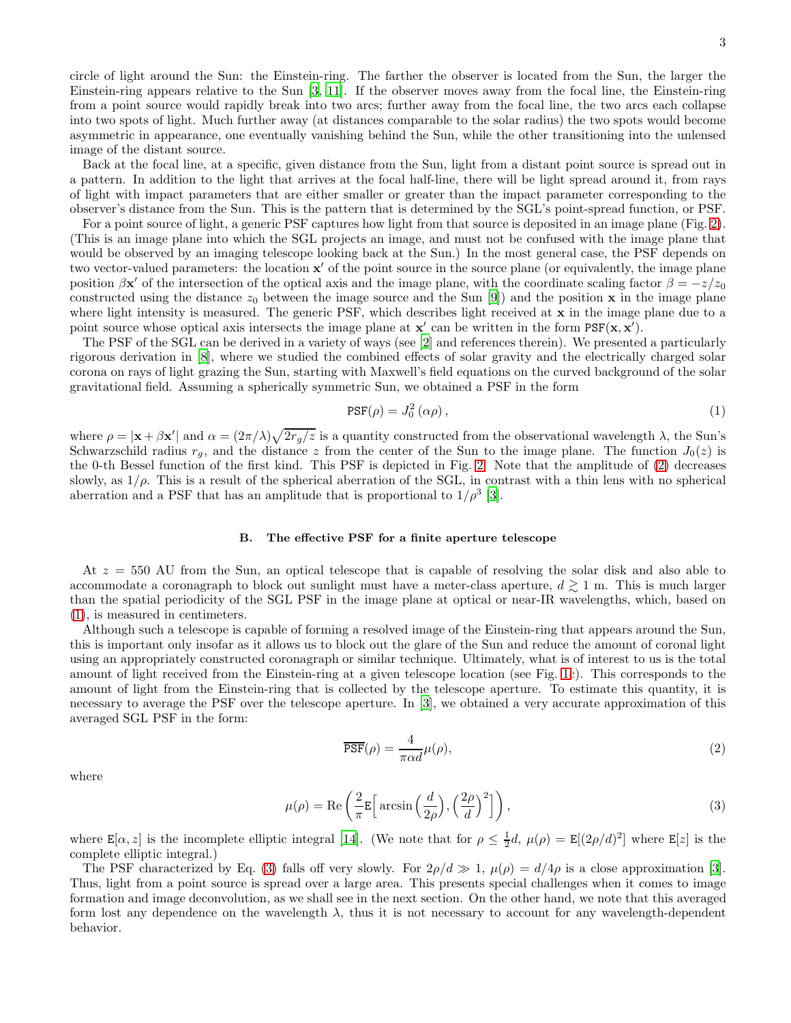circle of light around the Sun: the Einstein-ring. The farther the observer is located from the Sun, the larger the Einstein-ring appears relative to the Sun [\[3,](#page-10-2) [11](#page-10-3)]. If the observer moves away from the focal line, the Einstein-ring from a point source would rapidly break into two arcs; further away from the focal line, the two arcs each collapse into two spots of light. Much further away (at distances comparable to the solar radius) the two spots would become asymmetric in appearance, one eventually vanishing behind the Sun, while the other transitioning into the unlensed image of the distant source.

Back at the focal line, at a specific, given distance from the Sun, light from a distant point source is spread out in a pattern. In addition to the light that arrives at the focal half-line, there will be light spread around it, from rays of light with impact parameters that are either smaller or greater than the impact parameter corresponding to the observer's distance from the Sun. This is the pattern that is determined by the SGL's point-spread function, or PSF.

For a point source of light, a generic PSF captures how light from that source is deposited in an image plane (Fig. [2\)](#page-3-0). (This is an image plane into which the SGL projects an image, and must not be confused with the image plane that would be observed by an imaging telescope looking back at the Sun.) In the most general case, the PSF depends on two vector-valued parameters: the location  $x'$  of the point source in the source plane (or equivalently, the image plane position  $\beta x'$  of the intersection of the optical axis and the image plane, with the coordinate scaling factor  $\beta = -z/z_0$ constructed using the distance  $z_0$  between the image source and the Sun [\[9\]](#page-10-6)) and the position x in the image plane where light intensity is measured. The generic PSF, which describes light received at x in the image plane due to a point source whose optical axis intersects the image plane at  $x'$  can be written in the form  $PSF(x, x')$ .

The PSF of the SGL can be derived in a variety of ways (see [\[2](#page-10-1)] and references therein). We presented a particularly rigorous derivation in [\[8](#page-10-7)], where we studied the combined effects of solar gravity and the electrically charged solar corona on rays of light grazing the Sun, starting with Maxwell's field equations on the curved background of the solar gravitational field. Assuming a spherically symmetric Sun, we obtained a PSF in the form

<span id="page-2-0"></span>
$$
\text{PSF}(\rho) = J_0^2 \left( \alpha \rho \right),\tag{1}
$$

where  $\rho = |\mathbf{x} + \beta \mathbf{x}'|$  and  $\alpha = (2\pi/\lambda)\sqrt{2r_g/z}$  is a quantity constructed from the observational wavelength  $\lambda$ , the Sun's Schwarzschild radius  $r_q$ , and the distance z from the center of the Sun to the image plane. The function  $J_0(z)$  is the 0-th Bessel function of the first kind. This PSF is depicted in Fig. [2.](#page-3-0) Note that the amplitude of [\(2\)](#page-3-0) decreases slowly, as  $1/\rho$ . This is a result of the spherical aberration of the SGL, in contrast with a thin lens with no spherical aberration and a PSF that has an amplitude that is proportional to  $1/\rho^3$  [\[3](#page-10-2)].

# B. The effective PSF for a finite aperture telescope

At  $z = 550$  AU from the Sun, an optical telescope that is capable of resolving the solar disk and also able to accommodate a coronagraph to block out sunlight must have a meter-class aperture,  $d \geq 1$  m. This is much larger than the spatial periodicity of the SGL PSF in the image plane at optical or near-IR wavelengths, which, based on [\(1\)](#page-2-0), is measured in centimeters.

Although such a telescope is capable of forming a resolved image of the Einstein-ring that appears around the Sun, this is important only insofar as it allows us to block out the glare of the Sun and reduce the amount of coronal light using an appropriately constructed coronagraph or similar technique. Ultimately, what is of interest to us is the total amount of light received from the Einstein-ring at a given telescope location (see Fig. [1c](#page-1-0)). This corresponds to the amount of light from the Einstein-ring that is collected by the telescope aperture. To estimate this quantity, it is necessary to average the PSF over the telescope aperture. In [\[3](#page-10-2)], we obtained a very accurate approximation of this averaged SGL PSF in the form:

<span id="page-2-2"></span>
$$
\overline{\text{PSF}}(\rho) = \frac{4}{\pi \alpha d} \mu(\rho),\tag{2}
$$

where

<span id="page-2-1"></span>
$$
\mu(\rho) = \text{Re}\left(\frac{2}{\pi} \mathbb{E}\left[\arcsin\left(\frac{d}{2\rho}\right), \left(\frac{2\rho}{d}\right)^2\right]\right),\tag{3}
$$

where  $\mathbf{E}[\alpha, z]$  is the incomplete elliptic integral [\[14\]](#page-10-8). (We note that for  $\rho \leq \frac{1}{2}d$ ,  $\mu(\rho) = \mathbf{E}[(2\rho/d)^2]$  where  $\mathbf{E}[z]$  is the complete elliptic integral.)

The PSF characterized by Eq. [\(3\)](#page-2-1) falls off very slowly. For  $2\rho/d \gg 1$ ,  $\mu(\rho) = d/4\rho$  is a close approximation [\[3\]](#page-10-2). Thus, light from a point source is spread over a large area. This presents special challenges when it comes to image formation and image deconvolution, as we shall see in the next section. On the other hand, we note that this averaged form lost any dependence on the wavelength  $\lambda$ , thus it is not necessary to account for any wavelength-dependent behavior.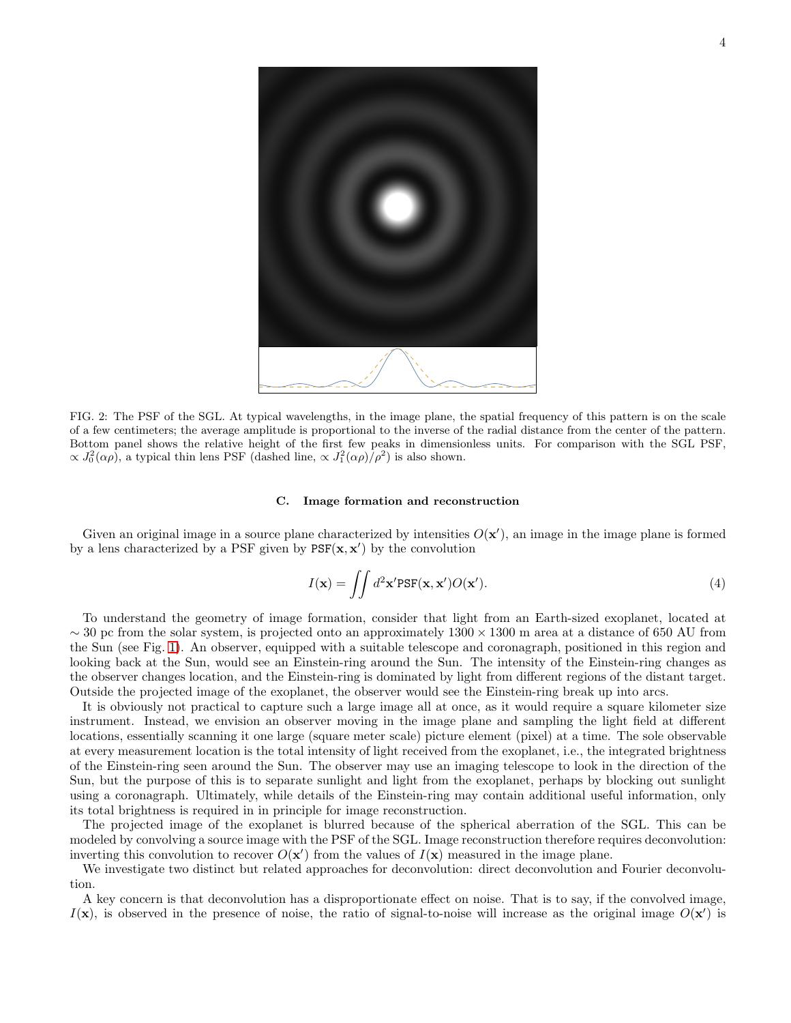

<span id="page-3-0"></span>FIG. 2: The PSF of the SGL. At typical wavelengths, in the image plane, the spatial frequency of this pattern is on the scale of a few centimeters; the average amplitude is proportional to the inverse of the radial distance from the center of the pattern. Bottom panel shows the relative height of the first few peaks in dimensionless units. For comparison with the SGL PSF,  $\propto J_0^2(\alpha \rho)$ , a typical thin lens PSF (dashed line,  $\propto J_1^2(\alpha \rho)/\rho^2$ ) is also shown.

### C. Image formation and reconstruction

Given an original image in a source plane characterized by intensities  $O(x')$ , an image in the image plane is formed by a lens characterized by a PSF given by  $PSF(\mathbf{x}, \mathbf{x}')$  by the convolution

<span id="page-3-1"></span>
$$
I(\mathbf{x}) = \iint d^2 \mathbf{x}' \text{PSF}(\mathbf{x}, \mathbf{x}') O(\mathbf{x}'). \tag{4}
$$

To understand the geometry of image formation, consider that light from an Earth-sized exoplanet, located at  $\sim$  30 pc from the solar system, is projected onto an approximately 1300 × 1300 m area at a distance of 650 AU from the Sun (see Fig. [1\)](#page-1-0). An observer, equipped with a suitable telescope and coronagraph, positioned in this region and looking back at the Sun, would see an Einstein-ring around the Sun. The intensity of the Einstein-ring changes as the observer changes location, and the Einstein-ring is dominated by light from different regions of the distant target. Outside the projected image of the exoplanet, the observer would see the Einstein-ring break up into arcs.

It is obviously not practical to capture such a large image all at once, as it would require a square kilometer size instrument. Instead, we envision an observer moving in the image plane and sampling the light field at different locations, essentially scanning it one large (square meter scale) picture element (pixel) at a time. The sole observable at every measurement location is the total intensity of light received from the exoplanet, i.e., the integrated brightness of the Einstein-ring seen around the Sun. The observer may use an imaging telescope to look in the direction of the Sun, but the purpose of this is to separate sunlight and light from the exoplanet, perhaps by blocking out sunlight using a coronagraph. Ultimately, while details of the Einstein-ring may contain additional useful information, only its total brightness is required in in principle for image reconstruction.

The projected image of the exoplanet is blurred because of the spherical aberration of the SGL. This can be modeled by convolving a source image with the PSF of the SGL. Image reconstruction therefore requires deconvolution: inverting this convolution to recover  $O(x')$  from the values of  $I(x)$  measured in the image plane.

We investigate two distinct but related approaches for deconvolution: direct deconvolution and Fourier deconvolution.

A key concern is that deconvolution has a disproportionate effect on noise. That is to say, if the convolved image,  $I(\mathbf{x})$ , is observed in the presence of noise, the ratio of signal-to-noise will increase as the original image  $O(\mathbf{x}')$  is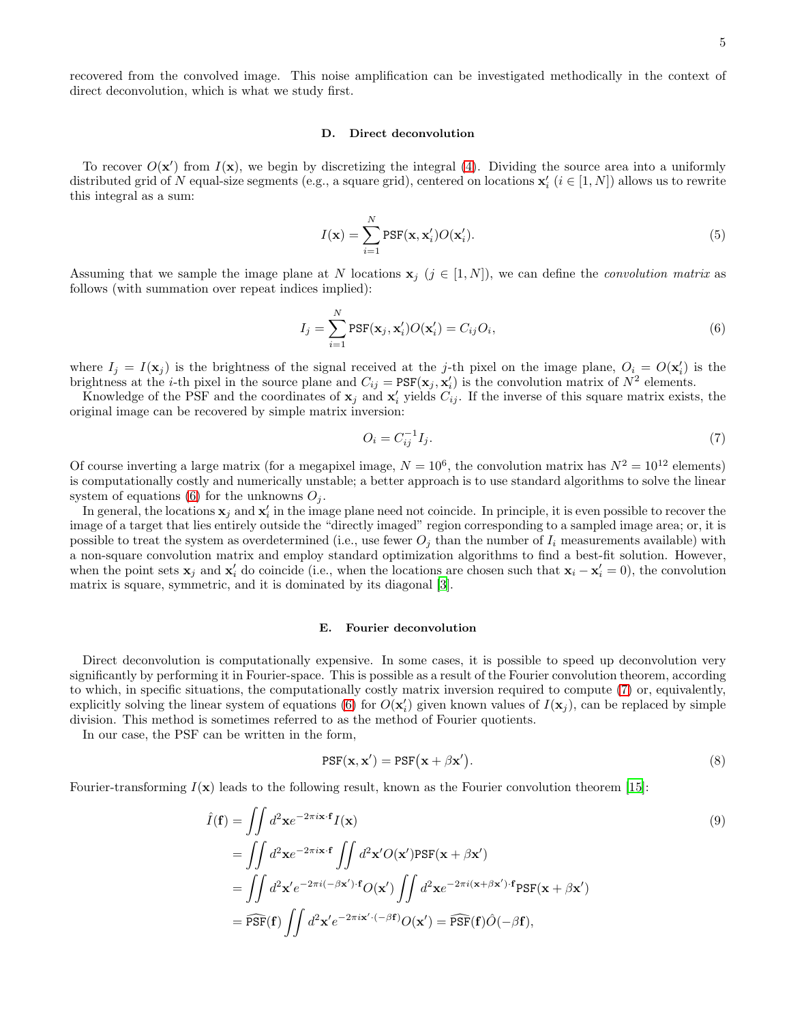recovered from the convolved image. This noise amplification can be investigated methodically in the context of direct deconvolution, which is what we study first.

## D. Direct deconvolution

To recover  $O(\mathbf{x}')$  from  $I(\mathbf{x})$ , we begin by discretizing the integral [\(4\)](#page-3-1). Dividing the source area into a uniformly distributed grid of N equal-size segments (e.g., a square grid), centered on locations  $\mathbf{x}'_i$  ( $i \in [1, N]$ ) allows us to rewrite this integral as a sum:

$$
I(\mathbf{x}) = \sum_{i=1}^{N} \text{PSF}(\mathbf{x}, \mathbf{x}'_i) O(\mathbf{x}'_i).
$$
 (5)

Assuming that we sample the image plane at N locations  $\mathbf{x}_j$  ( $j \in [1, N]$ ), we can define the *convolution matrix* as follows (with summation over repeat indices implied):

<span id="page-4-0"></span>
$$
I_j = \sum_{i=1}^{N} \text{PSF}(\mathbf{x}_j, \mathbf{x}'_i) O(\mathbf{x}'_i) = C_{ij} O_i,
$$
\n(6)

where  $I_j = I(\mathbf{x}_j)$  is the brightness of the signal received at the j-th pixel on the image plane,  $O_i = O(\mathbf{x}'_i)$  is the brightness at the *i*-th pixel in the source plane and  $C_{ij} = PSF(\mathbf{x}_j, \mathbf{x}'_i)$  is the convolution matrix of  $N^2$  elements.

Knowledge of the PSF and the coordinates of  $x_j$  and  $x'_i$  yields  $C_{ij}$ . If the inverse of this square matrix exists, the original image can be recovered by simple matrix inversion:

<span id="page-4-1"></span>
$$
O_i = C_{ij}^{-1} I_j. \tag{7}
$$

Of course inverting a large matrix (for a megapixel image,  $N = 10^6$ , the convolution matrix has  $N^2 = 10^{12}$  elements) is computationally costly and numerically unstable; a better approach is to use standard algorithms to solve the linear system of equations [\(6\)](#page-4-0) for the unknowns  $O_i$ .

In general, the locations  $x_j$  and  $x'_i$  in the image plane need not coincide. In principle, it is even possible to recover the image of a target that lies entirely outside the "directly imaged" region corresponding to a sampled image area; or, it is possible to treat the system as overdetermined (i.e., use fewer  $O_i$  than the number of  $I_i$  measurements available) with a non-square convolution matrix and employ standard optimization algorithms to find a best-fit solution. However, when the point sets  $x_j$  and  $x'_i$  do coincide (i.e., when the locations are chosen such that  $x_i - x'_i = 0$ ), the convolution matrix is square, symmetric, and it is dominated by its diagonal [\[3\]](#page-10-2).

### E. Fourier deconvolution

Direct deconvolution is computationally expensive. In some cases, it is possible to speed up deconvolution very significantly by performing it in Fourier-space. This is possible as a result of the Fourier convolution theorem, according to which, in specific situations, the computationally costly matrix inversion required to compute [\(7\)](#page-4-1) or, equivalently, explicitly solving the linear system of equations [\(6\)](#page-4-0) for  $O(\mathbf{x}'_i)$  given known values of  $I(\mathbf{x}_j)$ , can be replaced by simple division. This method is sometimes referred to as the method of Fourier quotients.

In our case, the PSF can be written in the form,

$$
PSF(\mathbf{x}, \mathbf{x}') = PSF(\mathbf{x} + \beta \mathbf{x}'). \tag{8}
$$

Fourier-transforming  $I(\mathbf{x})$  leads to the following result, known as the Fourier convolution theorem [\[15](#page-10-9)]:

$$
\hat{I}(\mathbf{f}) = \iint d^2 \mathbf{x} e^{-2\pi i \mathbf{x} \cdot \mathbf{f}} I(\mathbf{x})
$$
\n
$$
= \iint d^2 \mathbf{x} e^{-2\pi i \mathbf{x} \cdot \mathbf{f}} \iint d^2 \mathbf{x}' O(\mathbf{x}') PSF(\mathbf{x} + \beta \mathbf{x}')
$$
\n
$$
= \iint d^2 \mathbf{x}' e^{-2\pi i (-\beta \mathbf{x}') \cdot \mathbf{f}} O(\mathbf{x}') \iint d^2 \mathbf{x} e^{-2\pi i (\mathbf{x} + \beta \mathbf{x}') \cdot \mathbf{f}} PSF(\mathbf{x} + \beta \mathbf{x}')
$$
\n
$$
= \widehat{PSF}(\mathbf{f}) \iint d^2 \mathbf{x}' e^{-2\pi i \mathbf{x}' \cdot (-\beta \mathbf{f})} O(\mathbf{x}') = \widehat{PSF}(\mathbf{f}) \hat{O}(-\beta \mathbf{f}),
$$
\n(9)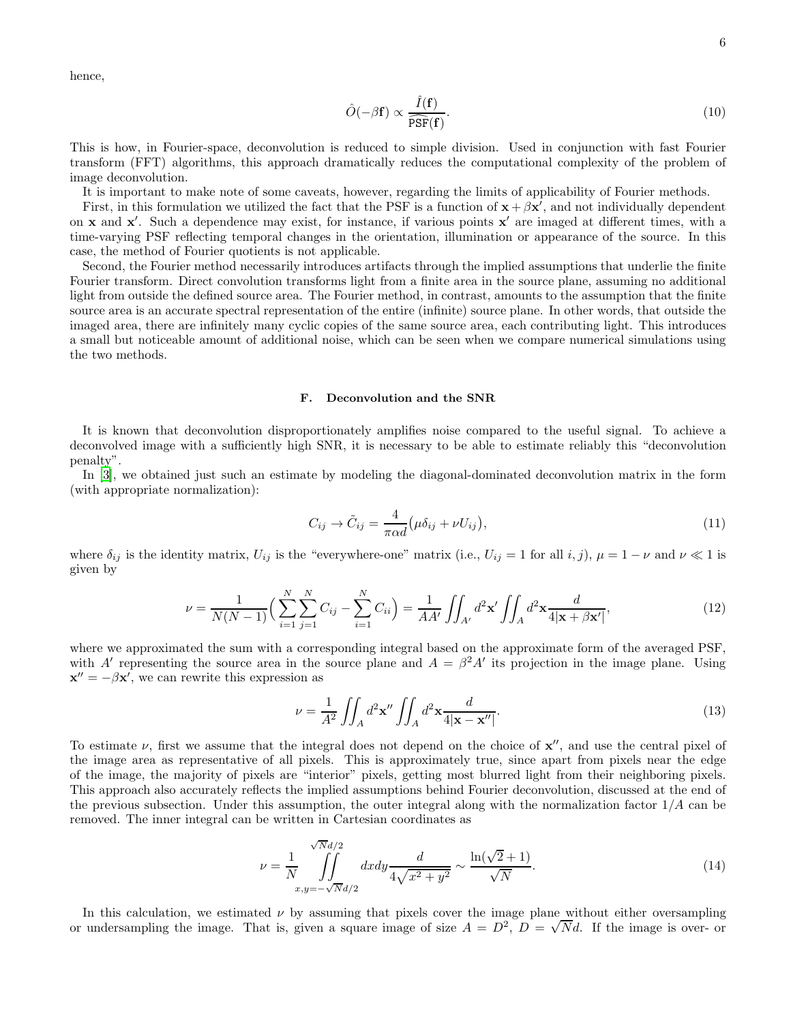hence,

<span id="page-5-1"></span>
$$
\hat{O}(-\beta \mathbf{f}) \propto \frac{\hat{I}(\mathbf{f})}{\widehat{\mathrm{PSF}}(\mathbf{f})}.\tag{10}
$$

This is how, in Fourier-space, deconvolution is reduced to simple division. Used in conjunction with fast Fourier transform (FFT) algorithms, this approach dramatically reduces the computational complexity of the problem of image deconvolution.

It is important to make note of some caveats, however, regarding the limits of applicability of Fourier methods.

First, in this formulation we utilized the fact that the PSF is a function of  $x + \beta x'$ , and not individually dependent on x and x'. Such a dependence may exist, for instance, if various points x' are imaged at different times, with a time-varying PSF reflecting temporal changes in the orientation, illumination or appearance of the source. In this case, the method of Fourier quotients is not applicable.

Second, the Fourier method necessarily introduces artifacts through the implied assumptions that underlie the finite Fourier transform. Direct convolution transforms light from a finite area in the source plane, assuming no additional light from outside the defined source area. The Fourier method, in contrast, amounts to the assumption that the finite source area is an accurate spectral representation of the entire (infinite) source plane. In other words, that outside the imaged area, there are infinitely many cyclic copies of the same source area, each contributing light. This introduces a small but noticeable amount of additional noise, which can be seen when we compare numerical simulations using the two methods.

### F. Deconvolution and the SNR

It is known that deconvolution disproportionately amplifies noise compared to the useful signal. To achieve a deconvolved image with a sufficiently high SNR, it is necessary to be able to estimate reliably this "deconvolution penalty".

In [\[3\]](#page-10-2), we obtained just such an estimate by modeling the diagonal-dominated deconvolution matrix in the form (with appropriate normalization):

$$
C_{ij} \rightarrow \tilde{C}_{ij} = \frac{4}{\pi \alpha d} \left( \mu \delta_{ij} + \nu U_{ij} \right),\tag{11}
$$

where  $\delta_{ij}$  is the identity matrix,  $U_{ij}$  is the "everywhere-one" matrix (i.e.,  $U_{ij} = 1$  for all  $i, j$ ),  $\mu = 1 - \nu$  and  $\nu \ll 1$  is given by

$$
\nu = \frac{1}{N(N-1)} \Big( \sum_{i=1}^{N} \sum_{j=1}^{N} C_{ij} - \sum_{i=1}^{N} C_{ii} \Big) = \frac{1}{AA'} \iint_{A'} d^2 \mathbf{x'} \iint_{A} d^2 \mathbf{x} \frac{d}{4|\mathbf{x} + \beta \mathbf{x'}|},
$$
(12)

where we approximated the sum with a corresponding integral based on the approximate form of the averaged PSF, with A' representing the source area in the source plane and  $A = \beta^2 A'$  its projection in the image plane. Using  $\mathbf{x}'' = -\beta \mathbf{x}',$  we can rewrite this expression as

<span id="page-5-0"></span>
$$
\nu = \frac{1}{A^2} \iint_A d^2 \mathbf{x}'' \iint_A d^2 \mathbf{x} \frac{d}{4|\mathbf{x} - \mathbf{x}''|}.
$$
\n(13)

To estimate  $\nu$ , first we assume that the integral does not depend on the choice of  $x''$ , and use the central pixel of the image area as representative of all pixels. This is approximately true, since apart from pixels near the edge of the image, the majority of pixels are "interior" pixels, getting most blurred light from their neighboring pixels. This approach also accurately reflects the implied assumptions behind Fourier deconvolution, discussed at the end of the previous subsection. Under this assumption, the outer integral along with the normalization factor  $1/A$  can be removed. The inner integral can be written in Cartesian coordinates as

$$
\nu = \frac{1}{N} \int_{x,y=-\sqrt{N}d/2}^{\sqrt{N}d/2} dx dy \frac{d}{4\sqrt{x^2 + y^2}} \sim \frac{\ln(\sqrt{2}+1)}{\sqrt{N}}.
$$
\n(14)

In this calculation, we estimated  $\nu$  by assuming that pixels cover the image plane without either oversampling or undersampling the image. That is, given a square image of size  $A = D^2$ ,  $D = \sqrt{N}d$ . If the image is over- or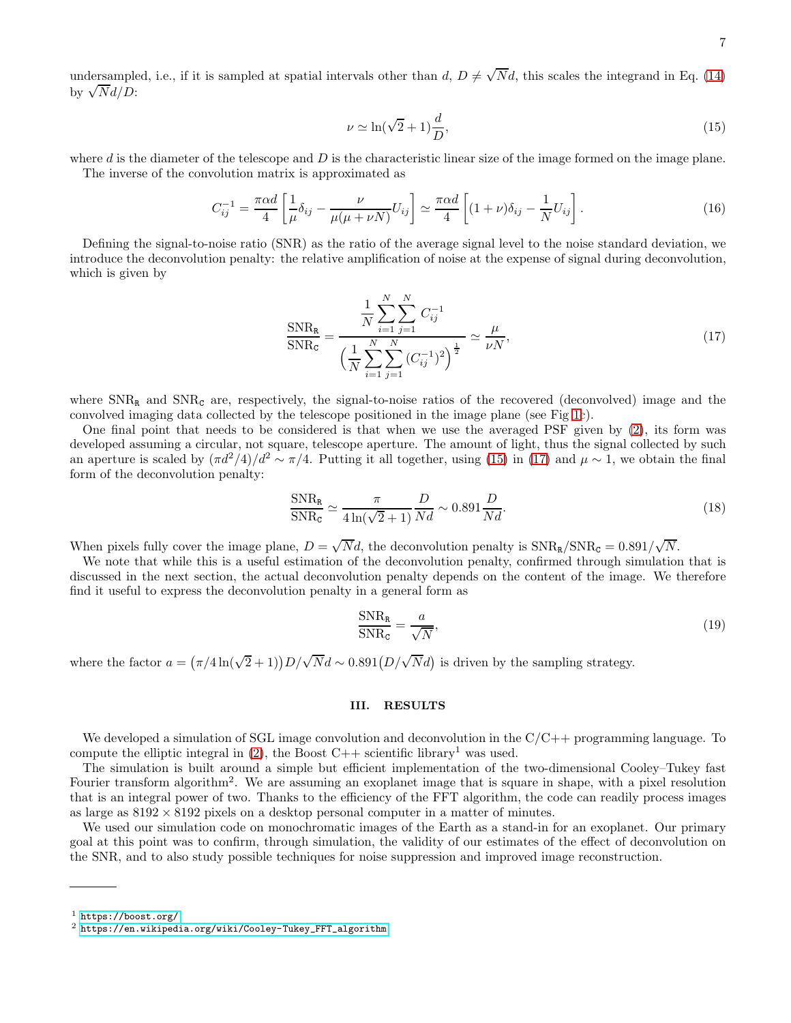undersampled, i.e., if it is sampled at spatial intervals other than  $d, D \neq \sqrt{N}d$ , this scales the integrand in Eq. [\(14\)](#page-5-0) by  $\sqrt{N}d/D$ :

<span id="page-6-2"></span><span id="page-6-1"></span>
$$
\nu \simeq \ln(\sqrt{2} + 1)\frac{d}{D},\tag{15}
$$

where  $d$  is the diameter of the telescope and  $D$  is the characteristic linear size of the image formed on the image plane. The inverse of the convolution matrix is approximated as

$$
C_{ij}^{-1} = \frac{\pi \alpha d}{4} \left[ \frac{1}{\mu} \delta_{ij} - \frac{\nu}{\mu(\mu + \nu N)} U_{ij} \right] \simeq \frac{\pi \alpha d}{4} \left[ (1 + \nu) \delta_{ij} - \frac{1}{N} U_{ij} \right]. \tag{16}
$$

Defining the signal-to-noise ratio (SNR) as the ratio of the average signal level to the noise standard deviation, we introduce the deconvolution penalty: the relative amplification of noise at the expense of signal during deconvolution, which is given by

$$
\frac{\text{SNR}_{\text{R}}}{\text{SNR}_{\text{C}}} = \frac{\frac{1}{N} \sum_{i=1}^{N} \sum_{j=1}^{N} C_{ij}^{-1}}{\left(\frac{1}{N} \sum_{i=1}^{N} \sum_{j=1}^{N} (C_{ij}^{-1})^2\right)^{\frac{1}{2}}} \simeq \frac{\mu}{\nu N},\tag{17}
$$

where  $SNR<sub>R</sub>$  and  $SNR<sub>C</sub>$  are, respectively, the signal-to-noise ratios of the recovered (deconvolved) image and the convolved imaging data collected by the telescope positioned in the image plane (see Fig [1c](#page-1-0)).

One final point that needs to be considered is that when we use the averaged PSF given by [\(2\)](#page-2-2), its form was developed assuming a circular, not square, telescope aperture. The amount of light, thus the signal collected by such an aperture is scaled by  $(\pi d^2/4)/d^2 \sim \pi/4$ . Putting it all together, using [\(15\)](#page-6-1) in [\(17\)](#page-6-2) and  $\mu \sim 1$ , we obtain the final form of the deconvolution penalty:

$$
\frac{\text{SNR}_{\text{R}}}{\text{SNR}_{\text{C}}} \simeq \frac{\pi}{4 \ln(\sqrt{2} + 1)} \frac{D}{Nd} \sim 0.891 \frac{D}{Nd}.
$$
\n(18)

When pixels fully cover the image plane,  $D = \sqrt{N}d$ , the deconvolution penalty is  $\text{SNR}_R/\text{SNR}_C = 0.891/\sqrt{N}$ .

We note that while this is a useful estimation of the deconvolution penalty, confirmed through simulation that is discussed in the next section, the actual deconvolution penalty depends on the content of the image. We therefore find it useful to express the deconvolution penalty in a general form as

<span id="page-6-3"></span>
$$
\frac{\text{SNR}_{\text{R}}}{\text{SNR}_{\text{C}}} = \frac{a}{\sqrt{N}},\tag{19}
$$

where the factor  $a = (\pi/4 \ln(\sqrt{2} + 1)) D/\sqrt{N} d \sim 0.891 (D/\sqrt{N} d)$  is driven by the sampling strategy.

## <span id="page-6-0"></span>III. RESULTS

We developed a simulation of SGL image convolution and deconvolution in the C/C++ programming language. To compute the elliptic integral in  $(2)$ , the Boost C++ scientific library<sup>1</sup> was used.

The simulation is built around a simple but efficient implementation of the two-dimensional Cooley–Tukey fast Fourier transform algorithm<sup>2</sup>. We are assuming an exoplanet image that is square in shape, with a pixel resolution that is an integral power of two. Thanks to the efficiency of the FFT algorithm, the code can readily process images as large as  $8192 \times 8192$  pixels on a desktop personal computer in a matter of minutes.

We used our simulation code on monochromatic images of the Earth as a stand-in for an exoplanet. Our primary goal at this point was to confirm, through simulation, the validity of our estimates of the effect of deconvolution on the SNR, and to also study possible techniques for noise suppression and improved image reconstruction.

 $<sup>1</sup>$  <https://boost.org/></sup>

 $2$  [https://en.wikipedia.org/wiki/Cooley-Tukey\\_FFT\\_algorithm](https://en.wikipedia.org/wiki/Cooley-Tukey_FFT_algorithm)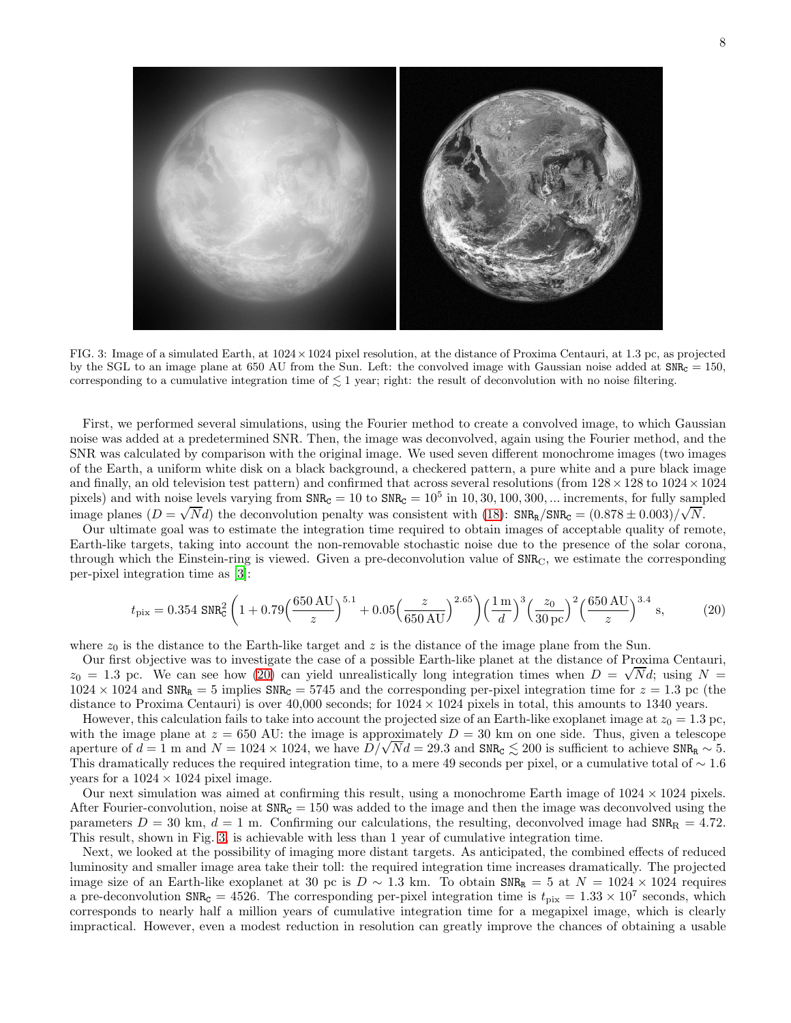

<span id="page-7-1"></span>FIG. 3: Image of a simulated Earth, at 1024×1024 pixel resolution, at the distance of Proxima Centauri, at 1.3 pc, as projected by the SGL to an image plane at 650 AU from the Sun. Left: the convolved image with Gaussian noise added at  $SNR<sub>C</sub> = 150$ , corresponding to a cumulative integration time of  $\lesssim 1$  year; right: the result of deconvolution with no noise filtering.

First, we performed several simulations, using the Fourier method to create a convolved image, to which Gaussian noise was added at a predetermined SNR. Then, the image was deconvolved, again using the Fourier method, and the SNR was calculated by comparison with the original image. We used seven different monochrome images (two images of the Earth, a uniform white disk on a black background, a checkered pattern, a pure white and a pure black image and finally, an old television test pattern) and confirmed that across several resolutions (from  $128 \times 128$  to  $1024 \times 1024$ pixels) and with noise levels varying from  $SNR<sub>C</sub> = 10$  to  $SNR<sub>C</sub> = 10<sup>5</sup>$  in 10, 30, 100, 300, ... increments, for fully sampled image planes  $(D = \sqrt{N}d)$  the deconvolution penalty was consistent with [\(18\)](#page-6-3): SNR<sub>R</sub>/SNR<sub>C</sub> =  $(0.878 \pm 0.003)/\sqrt{N}$ .

Our ultimate goal was to estimate the integration time required to obtain images of acceptable quality of remote, Earth-like targets, taking into account the non-removable stochastic noise due to the presence of the solar corona, through which the Einstein-ring is viewed. Given a pre-deconvolution value of  $\texttt{SNR}_C$ , we estimate the corresponding per-pixel integration time as [\[3\]](#page-10-2):

<span id="page-7-0"></span>
$$
t_{\rm pix} = 0.354 \, \text{SNR}_{\text{C}}^2 \left( 1 + 0.79 \left( \frac{650 \, \text{AU}}{z} \right)^{5.1} + 0.05 \left( \frac{z}{650 \, \text{AU}} \right)^{2.65} \right) \left( \frac{1 \, \text{m}}{d} \right)^3 \left( \frac{z_0}{30 \, \text{pc}} \right)^2 \left( \frac{650 \, \text{AU}}{z} \right)^{3.4} \, \text{s},\tag{20}
$$

where  $z_0$  is the distance to the Earth-like target and z is the distance of the image plane from the Sun.

Our first objective was to investigate the case of a possible Earth-like planet at the distance of Proxima Centauri,  $z_0 = 1.3$  pc. We can see how [\(20\)](#page-7-0) can yield unrealistically long integration times when  $D = \sqrt{N}d$ ; using  $N =$  $1024 \times 1024$  and SNR<sub>R</sub> = 5 implies SNR<sub>C</sub> = 5745 and the corresponding per-pixel integration time for  $z = 1.3$  pc (the distance to Proxima Centauri) is over  $40,000$  seconds; for  $1024 \times 1024$  pixels in total, this amounts to 1340 years.

However, this calculation fails to take into account the projected size of an Earth-like exoplanet image at  $z_0 = 1.3$  pc, with the image plane at  $z = 650$  AU: the image is approximately  $D = 30$  km on one side. Thus, given a telescope aperture of  $d = 1$  m and  $N = 1024 \times 1024$ , we have  $D/\sqrt{Nd} = 29.3$  and SNR<sub>C</sub>  $\leq 200$  is sufficient to achieve SNR<sub>R</sub>  $\sim 5$ . This dramatically reduces the required integration time, to a mere 49 seconds per pixel, or a cumulative total of  $\sim 1.6$ years for a  $1024 \times 1024$  pixel image.

Our next simulation was aimed at confirming this result, using a monochrome Earth image of  $1024 \times 1024$  pixels. After Fourier-convolution, noise at  $SNR<sub>C</sub> = 150$  was added to the image and then the image was deconvolved using the parameters  $D = 30$  km,  $d = 1$  m. Confirming our calculations, the resulting, deconvolved image had  $SNR_R = 4.72$ . This result, shown in Fig. [3,](#page-7-1) is achievable with less than 1 year of cumulative integration time.

Next, we looked at the possibility of imaging more distant targets. As anticipated, the combined effects of reduced luminosity and smaller image area take their toll: the required integration time increases dramatically. The projected image size of an Earth-like exoplanet at 30 pc is  $D \sim 1.3$  km. To obtain  $SNR_R = 5$  at  $N = 1024 \times 1024$  requires a pre-deconvolution  $\text{SNR}_{\text{C}} = 4526$ . The corresponding per-pixel integration time is  $t_{\text{pix}} = 1.33 \times 10^7$  seconds, which corresponds to nearly half a million years of cumulative integration time for a megapixel image, which is clearly impractical. However, even a modest reduction in resolution can greatly improve the chances of obtaining a usable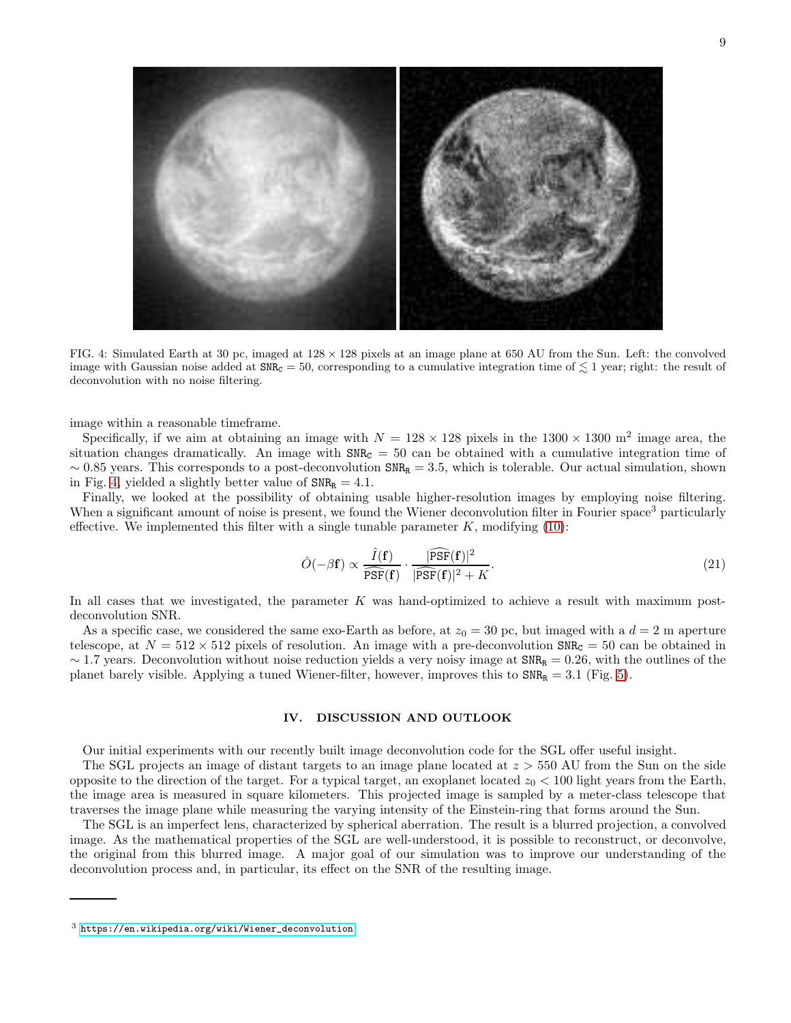

<span id="page-8-1"></span>FIG. 4: Simulated Earth at 30 pc, imaged at  $128 \times 128$  pixels at an image plane at 650 AU from the Sun. Left: the convolved image with Gaussian noise added at  $SNR<sub>C</sub> = 50$ , corresponding to a cumulative integration time of  $\leq 1$  year; right: the result of deconvolution with no noise filtering.

image within a reasonable timeframe.

Specifically, if we aim at obtaining an image with  $N = 128 \times 128$  pixels in the  $1300 \times 1300$  m<sup>2</sup> image area, the situation changes dramatically. An image with  $SNR<sub>C</sub> = 50$  can be obtained with a cumulative integration time of  $\sim 0.85$  years. This corresponds to a post-deconvolution SNR<sub>R</sub> = 3.5, which is tolerable. Our actual simulation, shown in Fig. [4,](#page-8-1) yielded a slightly better value of  $SNR<sub>R</sub> = 4.1$ .

Finally, we looked at the possibility of obtaining usable higher-resolution images by employing noise filtering. When a significant amount of noise is present, we found the Wiener deconvolution filter in Fourier space<sup>3</sup> particularly effective. We implemented this filter with a single tunable parameter  $K$ , modifying [\(10\)](#page-5-1):

$$
\hat{O}(-\beta \mathbf{f}) \propto \frac{\hat{I}(\mathbf{f})}{\widehat{\mathrm{PSF}}(\mathbf{f})} \cdot \frac{|\widehat{\mathrm{PSF}}(\mathbf{f})|^2}{|\widehat{\mathrm{PSF}}(\mathbf{f})|^2 + K}.
$$
\n(21)

In all cases that we investigated, the parameter K was hand-optimized to achieve a result with maximum postdeconvolution SNR.

As a specific case, we considered the same exo-Earth as before, at  $z_0 = 30$  pc, but imaged with a  $d = 2$  m aperture telescope, at  $N = 512 \times 512$  pixels of resolution. An image with a pre-deconvolution SNR<sub>C</sub> = 50 can be obtained in  $\sim$  1.7 years. Deconvolution without noise reduction yields a very noisy image at SNR<sub>R</sub> = 0.26, with the outlines of the planet barely visible. Applying a tuned Wiener-filter, however, improves this to  $SNR_R = 3.1$  (Fig. [5\)](#page-9-0).

## <span id="page-8-0"></span>IV. DISCUSSION AND OUTLOOK

Our initial experiments with our recently built image deconvolution code for the SGL offer useful insight.

The SGL projects an image of distant targets to an image plane located at  $z > 550$  AU from the Sun on the side opposite to the direction of the target. For a typical target, an exoplanet located  $z_0 < 100$  light years from the Earth, the image area is measured in square kilometers. This projected image is sampled by a meter-class telescope that traverses the image plane while measuring the varying intensity of the Einstein-ring that forms around the Sun.

The SGL is an imperfect lens, characterized by spherical aberration. The result is a blurred projection, a convolved image. As the mathematical properties of the SGL are well-understood, it is possible to reconstruct, or deconvolve, the original from this blurred image. A major goal of our simulation was to improve our understanding of the deconvolution process and, in particular, its effect on the SNR of the resulting image.

 $3$  [https://en.wikipedia.org/wiki/Wiener\\_deconvolution](https://en.wikipedia.org/wiki/Wiener_deconvolution)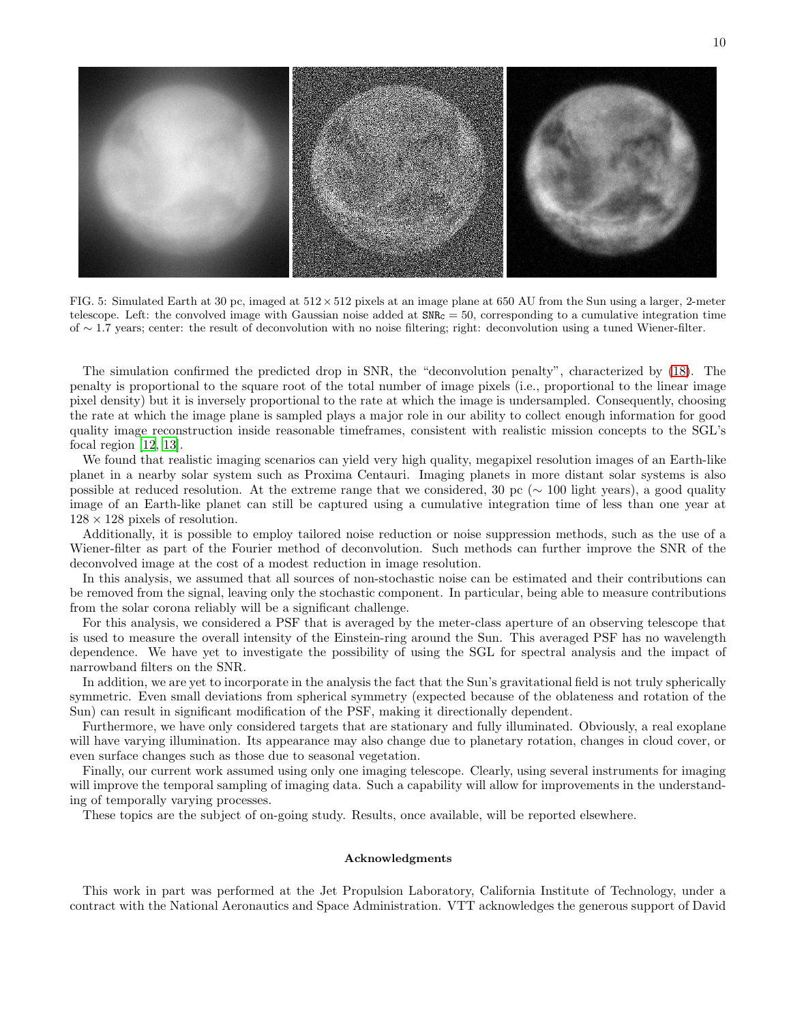

<span id="page-9-0"></span>FIG. 5: Simulated Earth at 30 pc, imaged at  $512 \times 512$  pixels at an image plane at 650 AU from the Sun using a larger, 2-meter telescope. Left: the convolved image with Gaussian noise added at  $SNR<sub>C</sub> = 50$ , corresponding to a cumulative integration time of ∼ 1.7 years; center: the result of deconvolution with no noise filtering; right: deconvolution using a tuned Wiener-filter.

The simulation confirmed the predicted drop in SNR, the "deconvolution penalty", characterized by [\(18\)](#page-6-3). The penalty is proportional to the square root of the total number of image pixels (i.e., proportional to the linear image pixel density) but it is inversely proportional to the rate at which the image is undersampled. Consequently, choosing the rate at which the image plane is sampled plays a major role in our ability to collect enough information for good quality image reconstruction inside reasonable timeframes, consistent with realistic mission concepts to the SGL's focal region [\[12,](#page-10-4) [13\]](#page-10-5).

We found that realistic imaging scenarios can yield very high quality, megapixel resolution images of an Earth-like planet in a nearby solar system such as Proxima Centauri. Imaging planets in more distant solar systems is also possible at reduced resolution. At the extreme range that we considered, 30 pc (∼ 100 light years), a good quality image of an Earth-like planet can still be captured using a cumulative integration time of less than one year at  $128 \times 128$  pixels of resolution.

Additionally, it is possible to employ tailored noise reduction or noise suppression methods, such as the use of a Wiener-filter as part of the Fourier method of deconvolution. Such methods can further improve the SNR of the deconvolved image at the cost of a modest reduction in image resolution.

In this analysis, we assumed that all sources of non-stochastic noise can be estimated and their contributions can be removed from the signal, leaving only the stochastic component. In particular, being able to measure contributions from the solar corona reliably will be a significant challenge.

For this analysis, we considered a PSF that is averaged by the meter-class aperture of an observing telescope that is used to measure the overall intensity of the Einstein-ring around the Sun. This averaged PSF has no wavelength dependence. We have yet to investigate the possibility of using the SGL for spectral analysis and the impact of narrowband filters on the SNR.

In addition, we are yet to incorporate in the analysis the fact that the Sun's gravitational field is not truly spherically symmetric. Even small deviations from spherical symmetry (expected because of the oblateness and rotation of the Sun) can result in significant modification of the PSF, making it directionally dependent.

Furthermore, we have only considered targets that are stationary and fully illuminated. Obviously, a real exoplane will have varying illumination. Its appearance may also change due to planetary rotation, changes in cloud cover, or even surface changes such as those due to seasonal vegetation.

Finally, our current work assumed using only one imaging telescope. Clearly, using several instruments for imaging will improve the temporal sampling of imaging data. Such a capability will allow for improvements in the understanding of temporally varying processes.

These topics are the subject of on-going study. Results, once available, will be reported elsewhere.

### Acknowledgments

This work in part was performed at the Jet Propulsion Laboratory, California Institute of Technology, under a contract with the National Aeronautics and Space Administration. VTT acknowledges the generous support of David